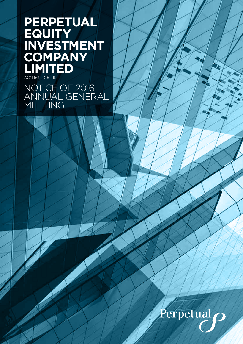# **PERPETUAL EQUITY INVESTMENT COMPANY LIMITED** ACN 601 406 419

NOTICE OF 2016 ANNUAL GENERAL MEETING

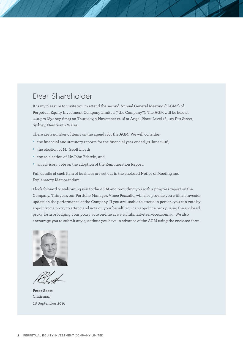# Dear Shareholder

It is my pleasure to invite you to attend the second Annual General Meeting ("AGM") of Perpetual Equity Investment Company Limited ("the Company"). The AGM will be held at 2.00pm (Sydney time) on Thursday, 3 November 2016 at Angel Place, Level 18, 123 Pitt Street, Sydney, New South Wales.

There are a number of items on the agenda for the AGM. We will consider:

- the financial and statutory reports for the financial year ended 30 June 2016;
- the election of Mr Geoff Lloyd;
- the re-election of Mr John Edstein; and
- an advisory vote on the adoption of the Remuneration Report.

Full details of each item of business are set out in the enclosed Notice of Meeting and Explanatory Memorandum.

I look forward to welcoming you to the AGM and providing you with a progress report on the Company. This year, our Portfolio Manager, Vince Pezzullo, will also provide you with an investor update on the performance of the Company. If you are unable to attend in person, you can vote by appointing a proxy to attend and vote on your behalf. You can appoint a proxy using the enclosed proxy form or lodging your proxy vote on-line at www.linkmarketservices.com.au. We also encourage you to submit any questions you have in advance of the AGM using the enclosed form.



**Peter Scott** Chairman 28 September 2016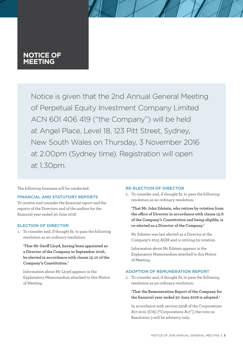## **NOTICE OF MEETING**

Notice is given that the 2nd Annual General Meeting of Perpetual Equity Investment Company Limited ACN 601 406 419 ("the Company") will be held at Angel Place, Level 18, 123 Pitt Street, Sydney, New South Wales on Thursday, 3 November 2016 at 2.00pm (Sydney time). Registration will open at 1.30pm.

The following business will be conducted:

#### **FINANCIAL AND STATUTORY REPORTS**

To receive and consider the financial report and the reports of the Directors and of the auditor for the financial year ended 30 June 2016.

#### **ELECTION OF DIRECTOR**

**1.** To consider and, if thought fit, to pass the following resolution as an ordinary resolution:

**'That Mr Geoff Lloyd, having been appointed as a Director of the Company in September 2016, be elected in accordance with clause 15.10 of the Company's Constitution.'**

Information about Mr Lloyd appears in the Explanatory Memorandum attached to this Notice of Meeting.

#### **RE-ELECTION OF DIRECTOR**

**2.** To consider and, if thought fit, to pass the following resolution as an ordinary resolution:

**'That Mr John Edstein, who retires by rotation from the office of Director in accordance with clause 15.6 of the Company's Constitution and being eligible, is re-elected as a Director of the Company.'**

Mr Edstein was last elected as a Director at the Company's 2015 AGM and is retiring by rotation.

Information about Mr Edstein appears in the Explanatory Memorandum attached to this Notice of Meeting.

#### **ADOPTION OF REMUNERATION REPORT**

**3.** To consider and, if thought fit, to pass the following resolution as an ordinary resolution:

**'That the Remuneration Report of the Company for the financial year ended 30 June 2016 is adopted.'** 

In accordance with section 250R of the Corporations Act 2001 (Cth) ("Corporations Act"), the vote on Resolution 3 will be advisory only.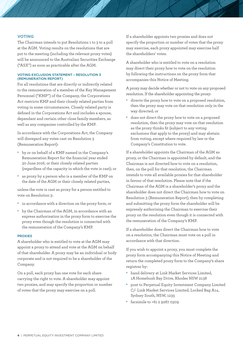#### **VOTING**

The Chairman intends to put Resolutions 1 to 3 to a poll at the AGM. Voting results on the resolutions that are put to the meeting (including the relevant proxy votes) will be announced to the Australian Securities Exchange ("ASX") as soon as practicable after the AGM.

#### VOTING EXCLUSION STATEMENT – RESOLUTION 3 (REMUNERATION REPORT)

For all resolutions that are directly or indirectly related to the remuneration of a member of the Key Management Personnel ("KMP") of the Company, the Corporations Act restricts KMP and their closely related parties from voting in some circumstances. Closely related party is defined in the Corporations Act and includes a spouse, dependant and certain other close family members, as well as any companies controlled by the KMP.

In accordance with the Corporations Act, the Company will disregard any votes cast on Resolution 3 (Remuneration Report):

- • by or on behalf of a KMP named in the Company's Remuneration Report for the financial year ended 30 June 2016, or their closely related parties (regardless of the capacity in which the vote is cast); or
- • as proxy by a person who is a member of the KMP on the date of the AGM or their closely related parties,

unless the vote is cast as proxy for a person entitled to vote on Resolution 3:

- in accordance with a direction on the proxy form; or
- • by the Chairman of the AGM, in accordance with an express authorisation in the proxy form to exercise the proxy even though the resolution is connected with the remuneration of the Company's KMP.

#### PROXIES

A shareholder who is entitled to vote at the AGM may appoint a proxy to attend and vote at the AGM on behalf of that shareholder. A proxy may be an individual or body corporate and is not required to be a shareholder of the Company.

On a poll, each proxy has one vote for each share carrying the right to vote. A shareholder may appoint two proxies, and may specify the proportion or number of votes that the proxy may exercise on a poll.

If a shareholder appoints two proxies and does not specify the proportion or number of votes that the proxy may exercise, each proxy appointed may exercise half the shareholders' votes.

A shareholder who is entitled to vote on a resolution may direct their proxy how to vote on the resolution by following the instructions on the proxy form that accompanies this Notice of Meeting.

A proxy may decide whether or not to vote on any proposed resolution. If the shareholder appointing the proxy:

- directs the proxy how to vote on a proposed resolution, then the proxy may vote on that resolution only in the way directed; or
- • does not direct the proxy how to vote on a proposed resolution, then the proxy may vote on that resolution as the proxy thinks fit (subject to any voting exclusions that apply to the proxy) and may abstain from voting, except where required by law or the Company's Constitution to vote.

If a shareholder appoints the Chairman of the AGM as proxy, or the Chairman is appointed by default, and the Chairman is not directed how to vote on a resolution, then, on the poll for that resolution, the Chairman intends to vote all available proxies for that shareholder in favour of that resolution. Please note that if the Chairman of the AGM is a shareholder's proxy and the shareholder does not direct the Chairman how to vote on Resolution 3 (Remuneration Report), then by completing and submitting the proxy form the shareholder will be expressly authorising the Chairman to exercise their proxy on the resolution even though it is connected with the remuneration of the Company's KMP.

If a shareholder does direct the Chairman how to vote on a resolution, the Chairman must vote on a poll in accordance with that direction.

If you wish to appoint a proxy, you must complete the proxy form accompanying this Notice of Meeting and return the completed proxy form to the Company's share registrar by:

- hand delivery at Link Market Services Limited, 1A Homebush Bay Drive, Rhodes NSW 2138
- • post to Perpetual Equity Investment Company Limited C/- Link Market Services Limited, Locked Bag A14, Sydney South, NSW, 1235
- • facsimile to +61 2 9287 0309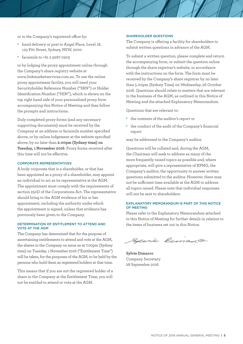or to the Company's registered office by:

- hand delivery or post to Angel Place, Level 18, 123 Pitt Street, Sydney, NSW, 2000
- facsimile to +61 2 9287 0303

or by lodging the proxy appointment online through the Company's share registry website at www.linkmarketservices.com.au. To use the online proxy appointment facility, you will need your Securityholder Reference Number ("SRN") or Holder Identification Number ("HIN"), which is shown on the top right hand side of your personalised proxy form accompanying this Notice of Meeting and then follow the prompts and instructions.

Duly completed proxy forms (and any necessary supporting documents) must be received by the Company at an address or facsimile number specified above, or by online lodgement at the website specified above, by no later than **2.00pm (Sydney time) on Tuesday, 1 November 2016**. Proxy forms received after this time will not be effective.

#### CORPORATE REPRESENTATIVES

A body corporate that is a shareholder, or that has been appointed as a proxy of a shareholder, may appoint an individual to act as its representative at the AGM. The appointment must comply with the requirements of section 250D of the Corporations Act. The representative should bring to the AGM evidence of his or her appointment, including the authority under which the appointment is signed, unless that evidence has previously been given to the Company.

#### DETERMINATION OF ENTITLEMENT TO ATTEND AND VOTE AT THE AGM

The Company has determined that for the purpose of ascertaining entitlements to attend and vote at the AGM, the shares in the Company on issue as at 7.00pm (Sydney time) on Tuesday, 1 November 2016 ("Entitlement Time") will be taken, for the purposes of the AGM, to be held by the persons who hold them as registered holders at that time.

This means that if you are not the registered holder of a share in the Company at the Entitlement Time, you will not be entitled to attend or vote at the AGM.

#### SHAREHOLDER QUESTIONS

The Company is offering a facility for shareholders to submit written questions in advance of the AGM.

To submit a written question, please complete and return the accompanying form, or submit the question online through the share registrar's website, in accordance with the instructions on the form. The form must be received by the Company's share registrar by no later than 5.00pm (Sydney Time) on Wednesday, 26 October 2016. Questions should relate to matters that are relevant to the business of the AGM, as outlined in this Notice of Meeting and the attached Explanatory Memorandum.

Questions that are relevant to:

- • the contents of the auditor's report or
- the conduct of the audit of the Company's financial report

may be addressed to the Company's auditor.

Questions will be collated and, during the AGM, the Chairman will seek to address as many of the more frequently raised topics as possible and, where appropriate, will give a representative of KPMG, the Company's auditor, the opportunity to answer written questions submitted to the auditor. However, there may not be sufficient time available at the AGM to address all topics raised. Please note that individual responses will not be sent to shareholders.

#### EXPLANATORY MEMORANDUM IS PART OF THIS NOTICE OF MEETING

Please refer to the Explanatory Memorandum attached to this Notice of Meeting for further details in relation to the items of business set out in this Notice.

Specie Remarco

**Sylvie Dimarco** Company Secretary 28 September 2016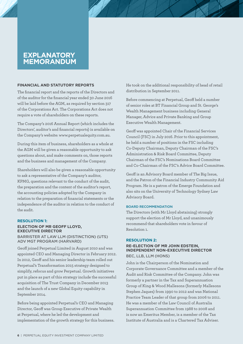## **EXPLANATORY MEMORANDUM**

#### **FINANCIAL AND STATUTORY REPORTS**

The financial report and the reports of the Directors and of the auditor for the financial year ended 30 June 2016 will be laid before the AGM, as required by section 317 of the Corporations Act. The Corporations Act does not require a vote of shareholders on these reports.

The Company's 2016 Annual Report (which includes the Directors', auditor's and financial reports) is available on the Company's website: www.perpetualequity.com.au.

During this item of business, shareholders as a whole at the AGM will be given a reasonable opportunity to ask questions about, and make comments on, those reports and the business and management of the Company.

Shareholders will also be given a reasonable opportunity to ask a representative of the Company's auditor, KPMG, questions relevant to the conduct of the audit, the preparation and the content of the auditor's report, the accounting policies adopted by the Company in relation to the preparation of financial statements or the independence of the auditor in relation to the conduct of the audit.

#### **RESOLUTION 1: ELECTION OF MR GEOFF LLOYD, EXECUTIVE DIRECTOR**

#### BARRISTER AT LAW LLM (DISTINCTION) (UTS) ADV MGT PROGRAM (HARVARD)

Geoff joined Perpetual Limited in August 2010 and was appointed CEO and Managing Director in February 2012. In 2012, Geoff and his senior leadership team rolled out Perpetual's Transformation 2015 strategy designed to simplify, refocus and grow Perpetual. Growth initiatives put in place as part of this strategy include the successful acquisition of The Trust Company in December 2013 and the launch of a new Global Equity capability in September 2014.

Before being appointed Perpetual's CEO and Managing Director, Geoff was Group Executive of Private Wealth at Perpetual, where he led the development and implementation of the growth strategy for this business. He took on the additional responsibility of head of retail distribution in September 2011.

Before commencing at Perpetual, Geoff held a number of senior roles at BT Financial Group and St. George's Wealth Management business including General Manager, Advice and Private Banking and Group Executive Wealth Management.

Geoff was appointed Chair of the Financial Services Council (FSC) in July 2016. Prior to this appointment, he held a number of positions in the FSC including Co-Deputy Chairman, Deputy Chairman of the FSC's Administration & Risk Board Committee, Deputy Chairman of the FSC's Nominations Board Committee and Co-Chairman of the FSC's Advice Board Committee.

Geoff is an Advisory Board member of The Big Issue, and the Patron of the Financial Industry Community Aid Program. He is a patron of the Emerge Foundation and also sits on the University of Technology Sydney Law Advisory Board.

#### BOARD RECOMMENDATION

The Directors (with Mr Lloyd abstaining) strongly support the election of Mr Lloyd, and unanimously recommend that shareholders vote in favour of Resolution 1.

#### **RESOLUTION 2:**

#### **RE-ELECTION OF MR JOHN EDSTEIN, INDEPENDENT NON-EXECUTIVE DIRECTOR**  BEC, LLB, LLM (HONS)

John is the Chairperson of the Nomination and Corporate Governance Committee and a member of the Audit and Risk Committee of the Company. John was formerly a partner in the Tax and Superannuation Group of King & Wood Mallesons (formerly Mallesons Stephen Jaques) from 1990 to 2012 and was National Practice Team Leader of that group from 2006 to 2011. He was a member of the Law Council of Australia Superannuation Committee from 1988 to 2008 and is now an Emeritus Member, is a member of the Tax Institute of Australia and is a Chartered Tax Adviser.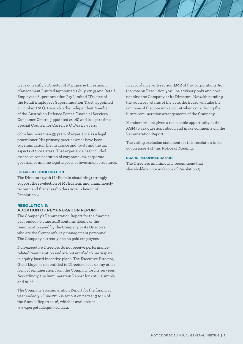He is currently a Director of Macquarie Investment Management Limited (appointed 1 July 2013) and Retail Employees Superannuation Pty Limited (Trustee of the Retail Employees Superannuation Trust, appointed 4 October 2013). He is also the Independent Member of the Australian Defence Forces Financial Services Consumer Centre (appointed 2008) and is a part time Special Counsel for Carroll & O'Dea Lawyers.

John has more than 35 years of experience as a legal practitioner. His primary practice areas have been superannuation, life insurance and trusts and the tax aspects of those areas. That experience has included extensive consideration of corporate law, corporate governance and the legal aspects of investment structures.

#### BOARD RECOMMENDATION

The Directors (with Mr Edstein abstaining) strongly support the re-election of Mr Edstein, and unanimously recommend that shareholders vote in favour of Resolution 2.

#### **RESOLUTION 3: ADOPTION OF REMUNERATION REPORT**

The Company's Remuneration Report for the financial year ended 30 June 2016 contains details of the remuneration paid by the Company to its Directors, who are the Company's key management personnel. The Company currently has no paid employees.

Non-executive Directors do not receive performancerelated remuneration and are not entitled to participate in equity-based incentive plans. The Executive Director, Geoff Lloyd, is not entitled to Directors' fees or any other form of remuneration from the Company for his services. Accordingly, the Remuneration Report for 2016 is simple and brief.

The Company's Remuneration Report for the financial year ended 30 June 2016 is set out on pages 13 to 16 of the Annual Report 2016, which is available at www.perpetualequity.com.au.

In accordance with section 250R of the Corporations Act, the vote on Resolution 3 will be advisory only and does not bind the Company or its Directors. Notwithstanding the 'advisory' status of the vote, the Board will take the outcome of the vote into account when considering the future remuneration arrangements of the Company.

Members will be given a reasonable opportunity at the AGM to ask questions about, and make comments on, the Remuneration Report.

The voting exclusion statement for this resolution is set out on page 4 of this Notice of Meeting.

#### BOARD RECOMMENDATION

The Directors unanimously recommend that shareholders vote in favour of Resolution 3.